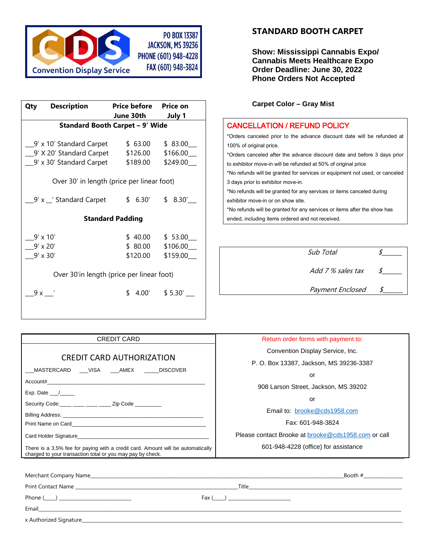

| June 30th July 1                           |                                                                                                                                                                               |  |  |  |  |
|--------------------------------------------|-------------------------------------------------------------------------------------------------------------------------------------------------------------------------------|--|--|--|--|
| <b>Standard Booth Carpet - 9' Wide</b>     |                                                                                                                                                                               |  |  |  |  |
|                                            |                                                                                                                                                                               |  |  |  |  |
| \$63.00                                    | \$83.00                                                                                                                                                                       |  |  |  |  |
| \$126.00                                   | \$166.00                                                                                                                                                                      |  |  |  |  |
| \$189.00                                   | \$249.00                                                                                                                                                                      |  |  |  |  |
|                                            |                                                                                                                                                                               |  |  |  |  |
| Over 30' in length (price per linear foot) |                                                                                                                                                                               |  |  |  |  |
|                                            |                                                                                                                                                                               |  |  |  |  |
|                                            | \$6.30' \$8.30'                                                                                                                                                               |  |  |  |  |
|                                            |                                                                                                                                                                               |  |  |  |  |
|                                            |                                                                                                                                                                               |  |  |  |  |
|                                            | $$40.00$ $$53.00$                                                                                                                                                             |  |  |  |  |
|                                            | \$106.00                                                                                                                                                                      |  |  |  |  |
| \$120.00                                   | \$159.00                                                                                                                                                                      |  |  |  |  |
|                                            |                                                                                                                                                                               |  |  |  |  |
| Over 30'in length (price per linear foot)  |                                                                                                                                                                               |  |  |  |  |
|                                            |                                                                                                                                                                               |  |  |  |  |
| \$.                                        | $4.00'$ \$ 5.30'                                                                                                                                                              |  |  |  |  |
|                                            |                                                                                                                                                                               |  |  |  |  |
|                                            | Price before Price on<br>9' x 10' Standard Carpet<br>_9′ X 20′ Standard Carpet<br>_9′ x 30′ Standard Carpet<br>9' x _' Standard Carpet<br><b>Standard Padding</b><br>\$ 80.00 |  |  |  |  |

# **STANDARD BOOTH CARPET**

**Show: Mississippi Cannabis Expo/ Cannabis Meets Healthcare Expo Order Deadline: June 30, 2022 Phone Orders Not Accepted**

#### **Carpet Color – Gray Mist**

## CANCELLATION / REFUND POLICY

\*Orders canceled prior to the advance discount date will be refunded at 100% of original price.

\*Orders canceled after the advance discount date and before 3 days prior to exhibitor move-in will be refunded at 50% of original price

\*No refunds will be granted for services or equipment not used, or canceled 3 days prior to exhibitor move-in.

\*No refunds will be granted for any services or items canceled during exhibitor move-in or on show site.

\*No refunds will be granted for any services or items after the show has ended, including items ordered and not received.

| Sub Total         |  |
|-------------------|--|
| Add 7 % sales tax |  |
| Payment Enclosed  |  |

| <b>CREDIT CARD</b>                                                                                                                            | Return order forms with payment to:                        |  |  |
|-----------------------------------------------------------------------------------------------------------------------------------------------|------------------------------------------------------------|--|--|
| CREDIT CARD AUTHORIZATION<br>_MASTERCARD ____VISA ____AMEX ______DISCOVER                                                                     | Convention Display Service, Inc.                           |  |  |
|                                                                                                                                               | P. O. Box 13387, Jackson, MS 39236-3387                    |  |  |
|                                                                                                                                               | or                                                         |  |  |
|                                                                                                                                               | 908 Larson Street, Jackson, MS 39202                       |  |  |
| Exp. Date $\_\_\_\_\$<br>Security Code: ____ ___ ___ ___ Zip Code _______                                                                     | or                                                         |  |  |
|                                                                                                                                               | Email to: brooke@cds1958.com                               |  |  |
|                                                                                                                                               |                                                            |  |  |
|                                                                                                                                               | Fax: 601-948-3824                                          |  |  |
| Card Holder Signature <b>Executive Signature Card Holder Signature Card Holder Signature</b>                                                  | Please contact Brooke at <b>brooke@cds1958.com</b> or call |  |  |
| There is a 3.5% fee for paying with a credit card. Amount will be automatically<br>charged to your transaction total or you may pay by check. | 601-948-4228 (office) for assistance                       |  |  |
|                                                                                                                                               |                                                            |  |  |
|                                                                                                                                               | Booth $#$                                                  |  |  |
| Print Contact Name Law Print Contact Name Law Print Contact Name Law                                                                          |                                                            |  |  |

Phone (\_\_\_\_\_) \_\_\_\_\_\_\_\_\_\_\_\_\_\_\_\_\_\_\_\_\_\_\_\_\_\_\_\_\_\_\_ Fax (\_\_\_\_\_) \_\_\_\_\_\_\_\_\_\_\_\_\_\_\_\_\_\_\_\_\_\_\_\_\_\_\_

x Authorized Signature\_\_\_\_\_\_\_\_\_\_\_\_\_\_\_\_\_\_\_\_\_\_\_\_\_\_\_\_\_\_\_\_\_\_\_\_\_\_\_\_\_\_\_\_\_\_\_\_\_\_\_\_\_\_\_\_\_\_\_\_\_\_\_\_\_\_\_\_\_\_\_\_\_\_\_\_\_\_\_\_\_\_\_\_\_\_\_\_\_\_\_\_\_\_\_\_\_\_\_\_\_\_\_\_\_\_\_\_\_\_\_\_\_\_\_\_\_\_\_\_\_\_\_\_\_\_\_\_\_\_\_\_\_\_\_\_\_\_

Email\_\_\_\_\_\_\_\_\_\_\_\_\_\_\_\_\_\_\_\_\_\_\_\_\_\_\_\_\_\_\_\_\_\_\_\_\_\_\_\_\_\_\_\_\_\_\_\_\_\_\_\_\_\_\_\_\_\_\_\_\_\_\_\_\_\_\_\_\_\_\_\_\_\_\_\_\_\_\_\_\_\_\_\_\_\_\_\_\_\_\_\_\_\_\_\_\_\_\_\_\_\_\_\_\_\_\_\_\_\_\_\_\_\_\_\_\_\_\_\_\_\_\_\_\_\_\_\_\_\_\_\_\_\_\_\_\_\_\_\_\_\_\_\_\_\_\_\_\_\_\_\_\_\_\_\_